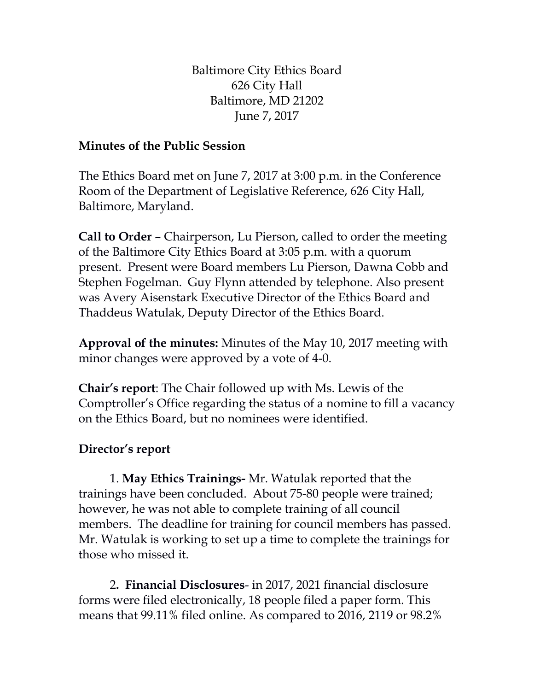Baltimore City Ethics Board 626 City Hall Baltimore, MD 21202 June 7, 2017

## **Minutes of the Public Session**

The Ethics Board met on June 7, 2017 at 3:00 p.m. in the Conference Room of the Department of Legislative Reference, 626 City Hall, Baltimore, Maryland.

**Call to Order –** Chairperson, Lu Pierson, called to order the meeting of the Baltimore City Ethics Board at 3:05 p.m. with a quorum present. Present were Board members Lu Pierson, Dawna Cobb and Stephen Fogelman. Guy Flynn attended by telephone. Also present was Avery Aisenstark Executive Director of the Ethics Board and Thaddeus Watulak, Deputy Director of the Ethics Board.

**Approval of the minutes:** Minutes of the May 10, 2017 meeting with minor changes were approved by a vote of 4-0.

**Chair's report**: The Chair followed up with Ms. Lewis of the Comptroller's Office regarding the status of a nomine to fill a vacancy on the Ethics Board, but no nominees were identified.

## **Director's report**

1. **May Ethics Trainings-** Mr. Watulak reported that the trainings have been concluded. About 75-80 people were trained; however, he was not able to complete training of all council members. The deadline for training for council members has passed. Mr. Watulak is working to set up a time to complete the trainings for those who missed it.

2**. Financial Disclosures**- in 2017, 2021 financial disclosure forms were filed electronically, 18 people filed a paper form. This means that 99.11% filed online. As compared to 2016, 2119 or 98.2%